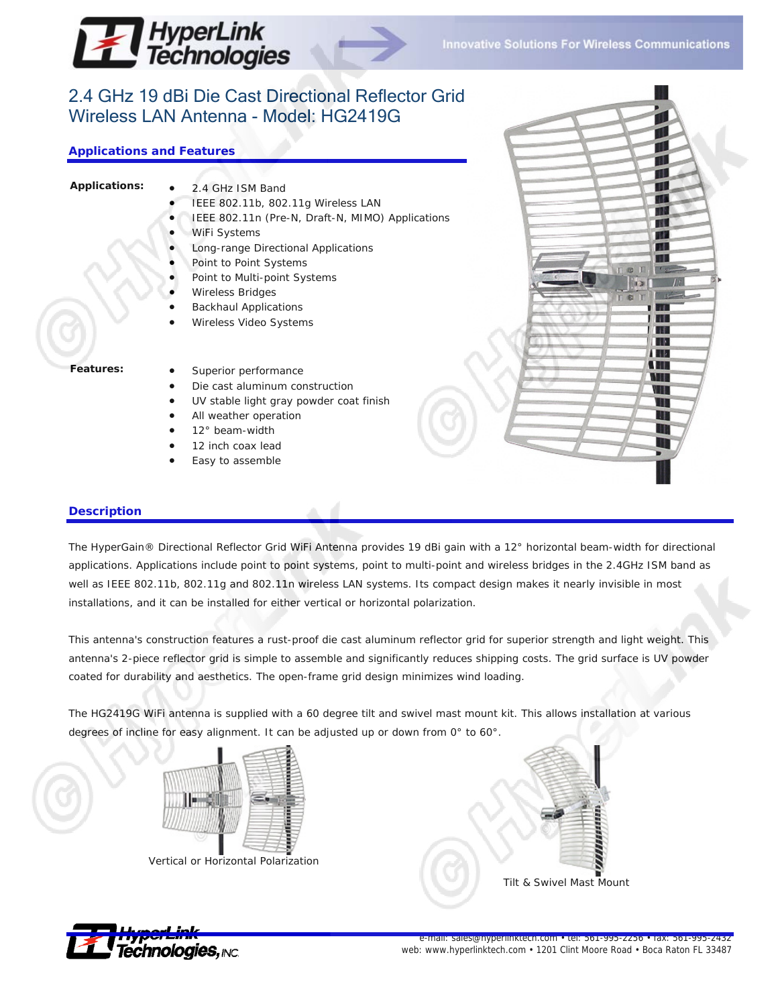

 $\epsilon$ 

H.  $\mathbb{R}^n$ щ ПĿ **IN** W w ПĿ

'nз

# 2.4 GHz 19 dBi Die Cast Directional Reflector Grid Wireless LAN Antenna - Model: HG2419G

# **Applications and Features**

- **Applications:** 2.4 GHz ISM Band
	- IEEE 802.11b, 802.11g Wireless LAN
	- IEEE 802.11n (Pre-N, Draft-N, MIMO) Applications
	- WiFi Systems
	- Long-range Directional Applications
	- Point to Point Systems
	- Point to Multi-point Systems
	- Wireless Bridges
	- Backhaul Applications
	- Wireless Video Systems

- Features: Superior performance
	- Die cast aluminum construction
	- UV stable light gray powder coat finish
	- All weather operation
	- 12° beam-width
	- 12 inch coax lead
	- Easy to assemble

### **Description**

The HyperGain® Directional Reflector Grid WiFi Antenna provides 19 dBi gain with a 12° horizontal beam-width for directional applications. Applications include point to point systems, point to multi-point and wireless bridges in the 2.4GHz ISM band as well as IEEE 802.11b, 802.11g and 802.11n wireless LAN systems. Its compact design makes it nearly invisible in most installations, and it can be installed for either vertical or horizontal polarization.

This antenna's construction features a rust-proof die cast aluminum reflector grid for superior strength and light weight. This antenna's 2-piece reflector grid is simple to assemble and significantly reduces shipping costs. The grid surface is UV powder coated for durability and aesthetics. The open-frame grid design minimizes wind loading.

The HG2419G WiFi antenna is supplied with a 60 degree tilt and swivel mast mount kit. This allows installation at various degrees of incline for easy alignment. It can be adjusted up or down from 0° to 60°.



Vertical or Horizontal Polarization